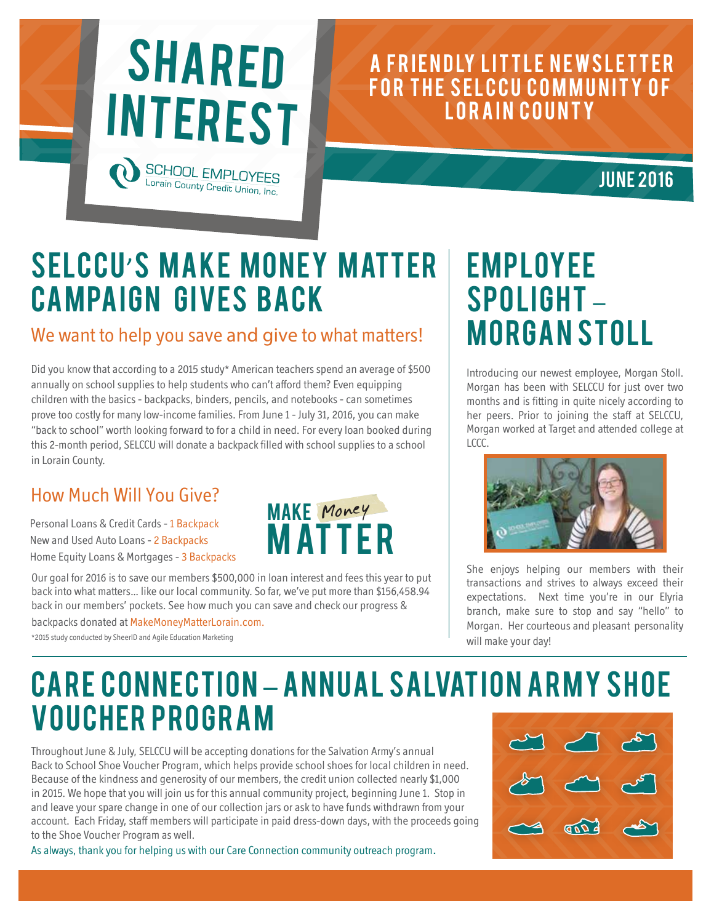# SHARED **INTEREST SCHOOL EMP**

Lorain County Credit Union, Inc

### A FRIENDLY LITTLE NEWSLETTER FOR THE SELCCU COMMUNITY OF LORAIN COUNTY

### **JUNE 2016**

## SELCCU'S MAKE MONEY MATTER **CAMPAIGN GIVES BACK**

#### We want to help you save and give to what matters!

Did you know that according to a 2015 study\* American teachers spend an average of \$500 annually on school supplies to help students who can't afford them? Even equipping children with the basics - backpacks, binders, pencils, and notebooks - can sometimes prove too costly for many low-income families. From June 1 - July 31, 2016, you can make "back to school" worth looking forward to for a child in need. For every loan booked during this 2-month period, SELCCU will donate a backpack filled with school supplies to a school in Lorain County.

#### How Much Will You Give?

Personal Loans & Credit Cards - 1 Backpack New and Used Auto Loans - 2 Backpacks Home Equity Loans & Mortgages - 3 Backpacks

Our goal for 2016 is to save our members \$500,000 in loan interest and fees this year to put back into what matters… like our local community. So far, we've put more than \$156,458.94 back in our members' pockets. See how much you can save and check our progress &

backpacks donated at MakeMoneyMatterLorain.com.

\*2015 study conducted by SheerID and Agile Education Marketing



## **EMPLOYEE** Spolight – Morgan Stoll

Introducing our newest employee, Morgan Stoll. Morgan has been with SELCCU for just over two months and is fitting in quite nicely according to her peers. Prior to joining the staff at SELCCU, Morgan worked at Target and attended college at LCCC.



She enjoys helping our members with their transactions and strives to always exceed their expectations. Next time you're in our Elyria branch, make sure to stop and say "hello" to Morgan. Her courteous and pleasant personality will make your day!

## CARE CONNECTION – ANNUAL SALVATION ARMY SHOE Voucher Program

Throughout June & July, SELCCU will be accepting donations for the Salvation Army's annual Back to School Shoe Voucher Program, which helps provide school shoes for local children in need. Because of the kindness and generosity of our members, the credit union collected nearly \$1,000 in 2015. We hope that you will join us for this annual community project, beginning June 1. Stop in and leave your spare change in one of our collection jars or ask to have funds withdrawn from your account. Each Friday, staff members will participate in paid dress-down days, with the proceeds going to the Shoe Voucher Program as well.

As always, thank you for helping us with our Care Connection community outreach program.